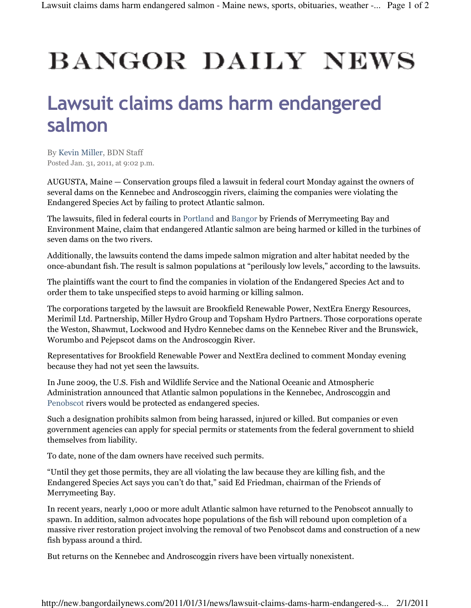## **BANGOR DAILY NEWS**

## Lawsuit claims dams harm endangered salmon

By Kevin Miller, BDN Staff Posted Jan. 31, 2011, at 9:02 p.m.

AUGUSTA, Maine — Conservation groups filed a lawsuit in federal court Monday against the owners of several dams on the Kennebec and Androscoggin rivers, claiming the companies were violating the Endangered Species Act by failing to protect Atlantic salmon.

The lawsuits, filed in federal courts in Portland and Bangor by Friends of Merrymeeting Bay and Environment Maine, claim that endangered Atlantic salmon are being harmed or killed in the turbines of seven dams on the two rivers.

Additionally, the lawsuits contend the dams impede salmon migration and alter habitat needed by the once-abundant fish. The result is salmon populations at "perilously low levels," according to the lawsuits.

The plaintiffs want the court to find the companies in violation of the Endangered Species Act and to order them to take unspecified steps to avoid harming or killing salmon.

The corporations targeted by the lawsuit are Brookfield Renewable Power, NextEra Energy Resources, Merimil Ltd. Partnership, Miller Hydro Group and Topsham Hydro Partners. Those corporations operate the Weston, Shawmut, Lockwood and Hydro Kennebec dams on the Kennebec River and the Brunswick, Worumbo and Pejepscot dams on the Androscoggin River.

Representatives for Brookfield Renewable Power and NextEra declined to comment Monday evening because they had not yet seen the lawsuits.

In June 2009, the U.S. Fish and Wildlife Service and the National Oceanic and Atmospheric Administration announced that Atlantic salmon populations in the Kennebec, Androscoggin and Penobscot rivers would be protected as endangered species.

Such a designation prohibits salmon from being harassed, injured or killed. But companies or even government agencies can apply for special permits or statements from the federal government to shield themselves from liability.

To date, none of the dam owners have received such permits.

"Until they get those permits, they are all violating the law because they are killing fish, and the Endangered Species Act says you can't do that," said Ed Friedman, chairman of the Friends of Merrymeeting Bay.

In recent years, nearly 1,000 or more adult Atlantic salmon have returned to the Penobscot annually to spawn. In addition, salmon advocates hope populations of the fish will rebound upon completion of a massive river restoration project involving the removal of two Penobscot dams and construction of a new fish bypass around a third.

But returns on the Kennebec and Androscoggin rivers have been virtually nonexistent.